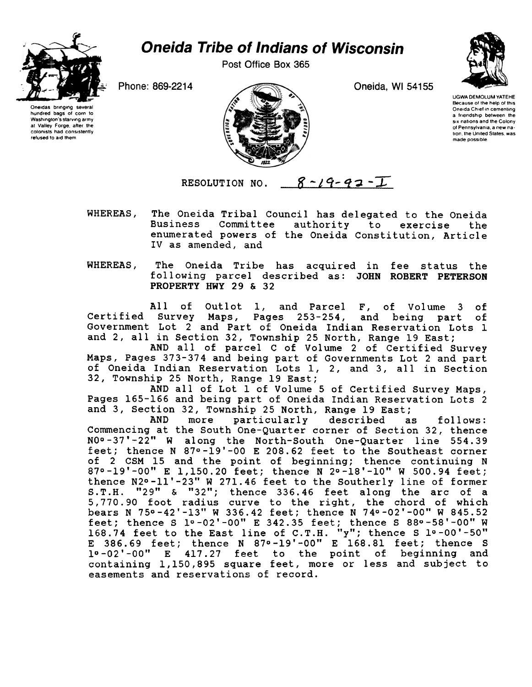

hundred bags of corn to Washington's starving army at Valley Forge, after the colonists had consistently refused to aid them

## Oneida Tribe of Indians of Wisconsin

Post Office Box 365



UGWA DEMOLUM YATEHE Because of the help of this Oneida Chief in cementing a friendship between the SIX nations and the Colony of Pennsylvania. a new nation, the United States, was made possible



RESOLUTION NO.  $8 - 19 - 93 - I$ 

- WHEREAS, The Oneida Tribal Council has delegated to the Oneida Business Committee authority to exercise the enumerated powers of the Oneida Constitution, Article IV as amended, and
- WHEREAS, The Oneida Tribe has acquired in fee status the following parcel described as: JOHN ROBERT PETERSON PROPERTY HWY 29 & 32

All of Outlot 1, and Parcel F, of Volume 3 of Certified Survey Maps, Pages 253-254/ and being part of Government Lot 2 and Part of Oneida Indian Reservation Lots 1 and 2, all in Section 32, Township 25 North, Range 19 East;

AND all of parcel C of Volume 2 of Certified Surve Maps, Pages 373-374 and being part of Governments Lot 2 and part of Oneida Indian Reservation Lots 1/ 2/ and 3/ all in Section 32, Township 25 North, Range 19 East;

AND all of Lot 1 of Volume 5 of Certified Survey Maps, Pages 165-166 and being part of Oneida Indian Reservation Lots 2 and 3, Section 32, Township 25 North, Range 19 East:

AND more particularly described as follows: Commencing at the South One-Quarter corner of Section 32, thence NOo-37'-22" W along the North-South One-Quarter line 554.39 feet; thence N 870-19'-00 E 208.62 feet to the Southeast corner of 2 CSM 15 and the point of beginning; thence continuing N 87°-19'-00" E 1,150.20 feet; thence N 2°-18'-10" W 500.94 fee thence N2°-11'-23" W 271.46 feet to the Southerly line of former S.T.H. "29" & "32"; thence 336.46 feet along the arc of a 5/770.90 foot radius curve to the right, the chord of which bears N 750 -42' -13" W 336.42 feet; thence N 740 -02' -00" W 845.52 feet; thence S 10 -02' -00" E 342.35 feet; thence S 880 -58' -00" W 168.74 feet to the East line of C.T.H. "y"; thence S 1º-00' $^{\circ}$ E 386.69 feet; thence N 870-19'-00" E 168.81 feet; thence S 10-02'-00" E 417.27 feet to the point of beginning and containing  $1,150,895$  square feet, more or less and subject t easements and reservations of record.